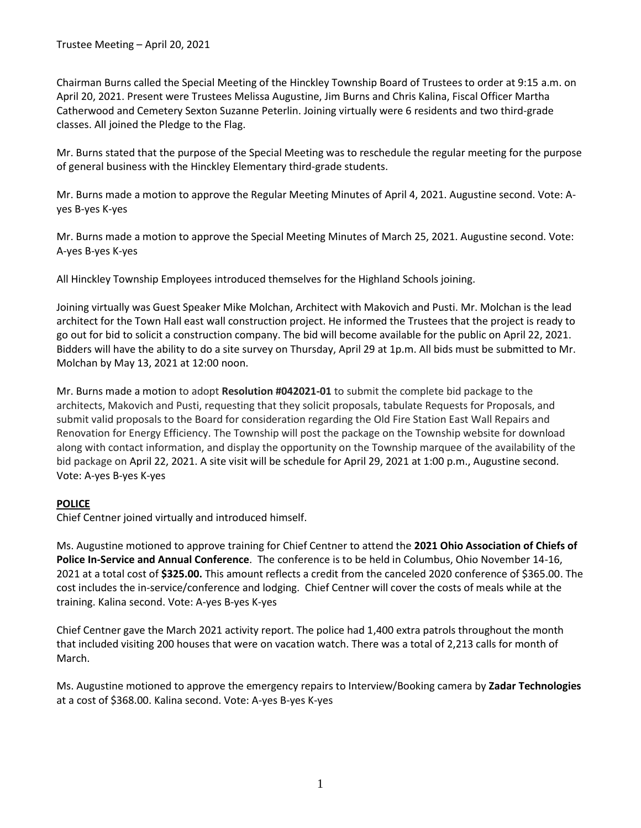Chairman Burns called the Special Meeting of the Hinckley Township Board of Trustees to order at 9:15 a.m. on April 20, 2021. Present were Trustees Melissa Augustine, Jim Burns and Chris Kalina, Fiscal Officer Martha Catherwood and Cemetery Sexton Suzanne Peterlin. Joining virtually were 6 residents and two third-grade classes. All joined the Pledge to the Flag.

Mr. Burns stated that the purpose of the Special Meeting was to reschedule the regular meeting for the purpose of general business with the Hinckley Elementary third-grade students.

Mr. Burns made a motion to approve the Regular Meeting Minutes of April 4, 2021. Augustine second. Vote: Ayes B-yes K-yes

Mr. Burns made a motion to approve the Special Meeting Minutes of March 25, 2021. Augustine second. Vote: A-yes B-yes K-yes

All Hinckley Township Employees introduced themselves for the Highland Schools joining.

Joining virtually was Guest Speaker Mike Molchan, Architect with Makovich and Pusti. Mr. Molchan is the lead architect for the Town Hall east wall construction project. He informed the Trustees that the project is ready to go out for bid to solicit a construction company. The bid will become available for the public on April 22, 2021. Bidders will have the ability to do a site survey on Thursday, April 29 at 1p.m. All bids must be submitted to Mr. Molchan by May 13, 2021 at 12:00 noon.

Mr. Burns made a motion to adopt **Resolution #042021-01** to submit the complete bid package to the architects, Makovich and Pusti, requesting that they solicit proposals, tabulate Requests for Proposals, and submit valid proposals to the Board for consideration regarding the Old Fire Station East Wall Repairs and Renovation for Energy Efficiency. The Township will post the package on the Township website for download along with contact information, and display the opportunity on the Township marquee of the availability of the bid package on April 22, 2021. A site visit will be schedule for April 29, 2021 at 1:00 p.m., Augustine second. Vote: A-yes B-yes K-yes

# **POLICE**

Chief Centner joined virtually and introduced himself.

Ms. Augustine motioned to approve training for Chief Centner to attend the **2021 Ohio Association of Chiefs of Police In-Service and Annual Conference**. The conference is to be held in Columbus, Ohio November 14-16, 2021 at a total cost of **\$325.00.** This amount reflects a credit from the canceled 2020 conference of \$365.00. The cost includes the in-service/conference and lodging. Chief Centner will cover the costs of meals while at the training. Kalina second. Vote: A-yes B-yes K-yes

Chief Centner gave the March 2021 activity report. The police had 1,400 extra patrols throughout the month that included visiting 200 houses that were on vacation watch. There was a total of 2,213 calls for month of March.

Ms. Augustine motioned to approve the emergency repairs to Interview/Booking camera by **Zadar Technologies**  at a cost of \$368.00. Kalina second. Vote: A-yes B-yes K-yes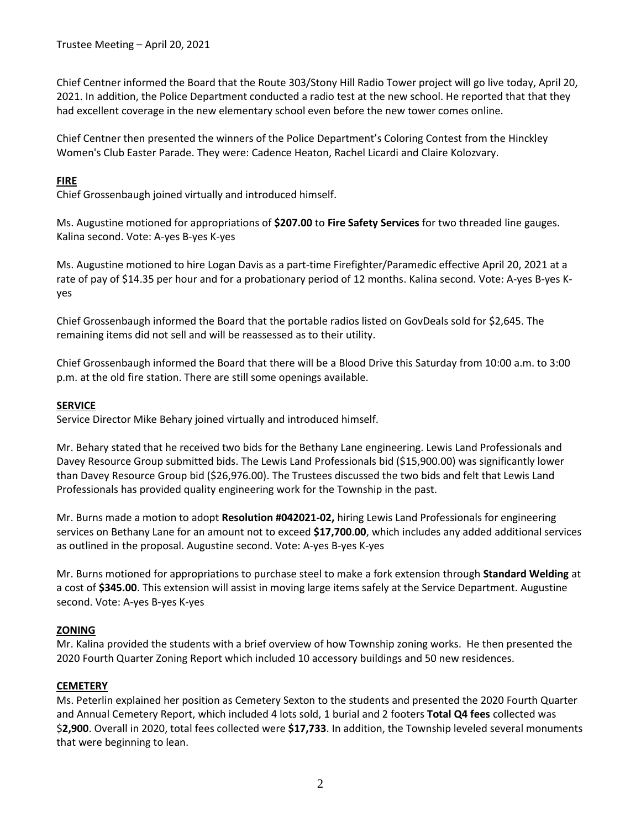Trustee Meeting – April 20, 2021

Chief Centner informed the Board that the Route 303/Stony Hill Radio Tower project will go live today, April 20, 2021. In addition, the Police Department conducted a radio test at the new school. He reported that that they had excellent coverage in the new elementary school even before the new tower comes online.

Chief Centner then presented the winners of the Police Department's Coloring Contest from the Hinckley Women's Club Easter Parade. They were: Cadence Heaton, Rachel Licardi and Claire Kolozvary.

## **FIRE**

Chief Grossenbaugh joined virtually and introduced himself.

Ms. Augustine motioned for appropriations of **\$207.00** to **Fire Safety Services** for two threaded line gauges. Kalina second. Vote: A-yes B-yes K-yes

Ms. Augustine motioned to hire Logan Davis as a part-time Firefighter/Paramedic effective April 20, 2021 at a rate of pay of \$14.35 per hour and for a probationary period of 12 months. Kalina second. Vote: A-yes B-yes Kyes

Chief Grossenbaugh informed the Board that the portable radios listed on GovDeals sold for \$2,645. The remaining items did not sell and will be reassessed as to their utility.

Chief Grossenbaugh informed the Board that there will be a Blood Drive this Saturday from 10:00 a.m. to 3:00 p.m. at the old fire station. There are still some openings available.

## **SERVICE**

Service Director Mike Behary joined virtually and introduced himself.

Mr. Behary stated that he received two bids for the Bethany Lane engineering. Lewis Land Professionals and Davey Resource Group submitted bids. The Lewis Land Professionals bid (\$15,900.00) was significantly lower than Davey Resource Group bid (\$26,976.00). The Trustees discussed the two bids and felt that Lewis Land Professionals has provided quality engineering work for the Township in the past.

Mr. Burns made a motion to adopt **Resolution #042021-02,** hiring Lewis Land Professionals for engineering services on Bethany Lane for an amount not to exceed **\$17,700**.**00**, which includes any added additional services as outlined in the proposal. Augustine second. Vote: A-yes B-yes K-yes

Mr. Burns motioned for appropriations to purchase steel to make a fork extension through **Standard Welding** at a cost of **\$345.00**. This extension will assist in moving large items safely at the Service Department. Augustine second. Vote: A-yes B-yes K-yes

# **ZONING**

Mr. Kalina provided the students with a brief overview of how Township zoning works. He then presented the 2020 Fourth Quarter Zoning Report which included 10 accessory buildings and 50 new residences.

#### **CEMETERY**

Ms. Peterlin explained her position as Cemetery Sexton to the students and presented the 2020 Fourth Quarter and Annual Cemetery Report, which included 4 lots sold, 1 burial and 2 footers **Total Q4 fees** collected was \$**2,900**. Overall in 2020, total fees collected were **\$17,733**. In addition, the Township leveled several monuments that were beginning to lean.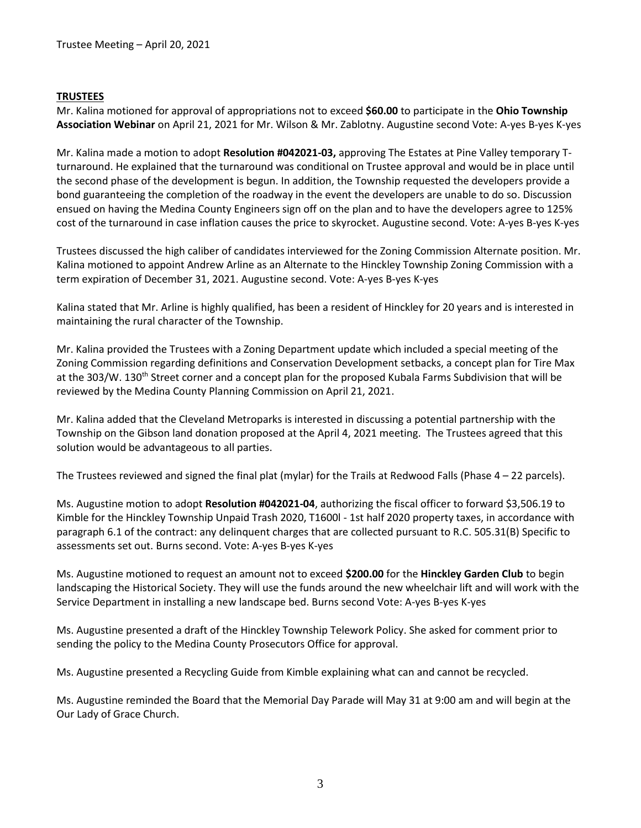## **TRUSTEES**

Mr. Kalina motioned for approval of appropriations not to exceed **\$60.00** to participate in the **Ohio Township Association Webinar** on April 21, 2021 for Mr. Wilson & Mr. Zablotny. Augustine second Vote: A-yes B-yes K-yes

Mr. Kalina made a motion to adopt **Resolution #042021-03,** approving The Estates at Pine Valley temporary Tturnaround. He explained that the turnaround was conditional on Trustee approval and would be in place until the second phase of the development is begun. In addition, the Township requested the developers provide a bond guaranteeing the completion of the roadway in the event the developers are unable to do so. Discussion ensued on having the Medina County Engineers sign off on the plan and to have the developers agree to 125% cost of the turnaround in case inflation causes the price to skyrocket. Augustine second. Vote: A-yes B-yes K-yes

Trustees discussed the high caliber of candidates interviewed for the Zoning Commission Alternate position. Mr. Kalina motioned to appoint Andrew Arline as an Alternate to the Hinckley Township Zoning Commission with a term expiration of December 31, 2021. Augustine second. Vote: A-yes B-yes K-yes

Kalina stated that Mr. Arline is highly qualified, has been a resident of Hinckley for 20 years and is interested in maintaining the rural character of the Township.

Mr. Kalina provided the Trustees with a Zoning Department update which included a special meeting of the Zoning Commission regarding definitions and Conservation Development setbacks, a concept plan for Tire Max at the 303/W. 130<sup>th</sup> Street corner and a concept plan for the proposed Kubala Farms Subdivision that will be reviewed by the Medina County Planning Commission on April 21, 2021.

Mr. Kalina added that the Cleveland Metroparks is interested in discussing a potential partnership with the Township on the Gibson land donation proposed at the April 4, 2021 meeting. The Trustees agreed that this solution would be advantageous to all parties.

The Trustees reviewed and signed the final plat (mylar) for the Trails at Redwood Falls (Phase  $4 - 22$  parcels).

Ms. Augustine motion to adopt **Resolution #042021-04**, authorizing the fiscal officer to forward \$3,506.19 to Kimble for the Hinckley Township Unpaid Trash 2020, T1600l - 1st half 2020 property taxes, in accordance with paragraph 6.1 of the contract: any delinquent charges that are collected pursuant to R.C. 505.31(B) Specific to assessments set out. Burns second. Vote: A-yes B-yes K-yes

Ms. Augustine motioned to request an amount not to exceed **\$200.00** for the **Hinckley Garden Club** to begin landscaping the Historical Society. They will use the funds around the new wheelchair lift and will work with the Service Department in installing a new landscape bed. Burns second Vote: A-yes B-yes K-yes

Ms. Augustine presented a draft of the Hinckley Township Telework Policy. She asked for comment prior to sending the policy to the Medina County Prosecutors Office for approval.

Ms. Augustine presented a Recycling Guide from Kimble explaining what can and cannot be recycled.

Ms. Augustine reminded the Board that the Memorial Day Parade will May 31 at 9:00 am and will begin at the Our Lady of Grace Church.